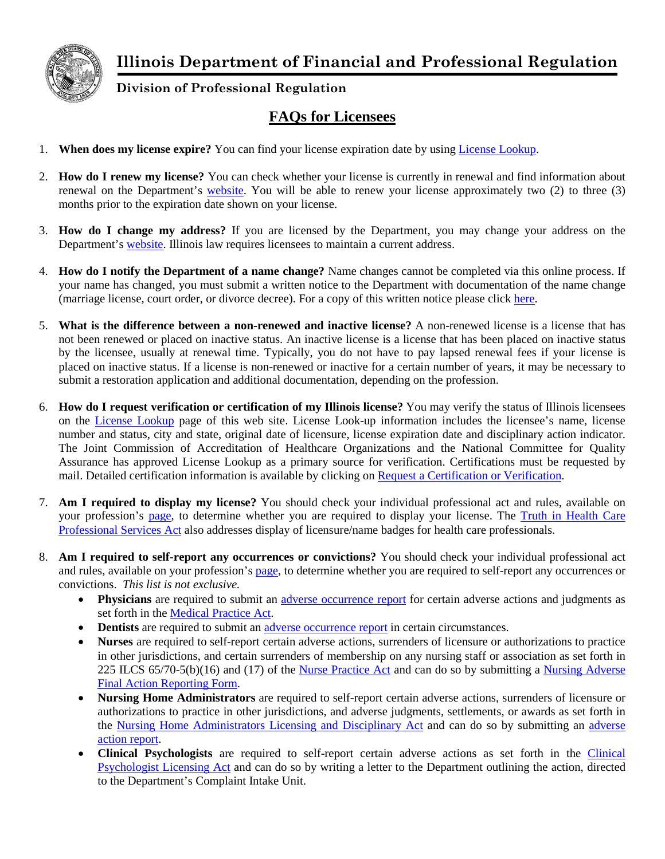

## **Illinois Department of Financial and Professional Regulation**

## **Division of Professional Regulation**

## **FAQs for Licensees**

- 1. **When does my license expire?** You can find your license expiration date by using [License Lookup.](https://ilesonline.idfpr.illinois.gov/DPR/Lookup/LicenseLookup.aspx)
- 2. **How do I renew my license?** You can check whether your license is currently in renewal and find information about renewal on the Department's [website.](https://www.idfpr.com/renewals/defaultssl.asp) You will be able to renew your license approximately two (2) to three (3) months prior to the expiration date shown on your license.
- 3. **How do I change my address?** If you are licensed by the Department, you may change your address on the Department's [website.](https://www.idfpr.com/applications/LicenseReprint/) Illinois law requires licensees to maintain a current address.
- 4. **How do I notify the Department of a name change?** Name changes cannot be completed via this online process. If your name has changed, you must submit a written notice to the Department with documentation of the name change (marriage license, court order, or divorce decree). For a copy of this written notice please click [here.](http://www.idfpr.com/Forms/DPR/DPRCOAnamechange.pdf)
- 5. **What is the difference between a non-renewed and inactive license?** A non-renewed license is a license that has not been renewed or placed on inactive status. An inactive license is a license that has been placed on inactive status by the licensee, usually at renewal time. Typically, you do not have to pay lapsed renewal fees if your license is placed on inactive status. If a license is non-renewed or inactive for a certain number of years, it may be necessary to submit a restoration application and additional documentation, depending on the profession.
- 6. **How do I request verification or certification of my Illinois license?** You may verify the status of Illinois licensees on the [License Lookup](https://ilesonline.idfpr.illinois.gov/DPR/Lookup/LicenseLookup.aspx) page of this web site. License Look-up information includes the licensee's name, license number and status, city and state, original date of licensure, license expiration date and disciplinary action indicator. The Joint Commission of Accreditation of Healthcare Organizations and the National Committee for Quality Assurance has approved License Lookup as a primary source for verification. Certifications must be requested by mail. Detailed certification information is available by clicking on Request [a Certification or Verification.](http://www.idfpr.com/Forms/Req_cert.pdf)
- 7. **Am I required to display my license?** You should check your individual professional act and rules, available on your profession's [page,](http://www.idfpr.com/profs/proflist.asp) to determine whether you are required to display your license. The Truth in Health Care [Professional Services Act](http://www.ilga.gov/legislation/ilcs/ilcs3.asp?ActID=3264&ChapterID=24) also addresses display of licensure/name badges for health care professionals.
- 8. **Am I required to self-report any occurrences or convictions?** You should check your individual professional act and rules, available on your profession's [page,](http://www.idfpr.com/profs/proflist.asp) to determine whether you are required to self-report any occurrences or convictions. *This list is not exclusive.*
	- **Physicians** are required to submit an [adverse occurrence report](http://www.idfpr.com/Forms/DPR/6032016PhysicianAdverseOccurrences.pdf) for certain adverse actions and judgments as set forth in the [Medical Practice Act.](http://www.ilga.gov/LEGISLATION/ILCS/ilcs3.asp?ActID=1309&ChapAct)
	- **Dentists** are required to submit an [adverse occurrence report](http://www.idfpr.com/Forms/DPR/AdverseOccurrencesReport2016.pdf) in certain circumstances.
	- **Nurses** are required to self-report certain adverse actions, surrenders of licensure or authorizations to practice in other jurisdictions, and certain surrenders of membership on any nursing staff or association as set forth in 225 ILCS 65/70-5(b)(16) and (17) of the [Nurse Practice Act](http://ilga.gov/legislation/ilcs/ilcs5.asp?ActID=1312&ChapterID=24) and can do so by submitting a Nursing Adverse [Final Action Reporting Form.](http://www.idfpr.com/Forms/DPR/Nursing%20Adverse%20Final%20Action%20Reporting%20Form%206-1-17.pdf)
	- **Nursing Home Administrators** are required to self-report certain adverse actions, surrenders of licensure or authorizations to practice in other jurisdictions, and adverse judgments, settlements, or awards as set forth in the [Nursing Home Administrators Licensing and Disciplinary Act](http://www.ilga.gov/legislation/ilcs/ilcs3.asp?ActID=1313&ChapterID=24) and can do so by submitting an [adverse](https://www.idfpr.com/Forms/DPR/NHA%20Mandatory%20Reporting%20Form.pdf)  action [report.](https://www.idfpr.com/Forms/DPR/NHA%20Mandatory%20Reporting%20Form.pdf)
	- **Clinical Psychologists** are required to self-report certain adverse actions as set forth in the [Clinical](http://ilga.gov/legislation/ilcs/ilcs3.asp?ActID=1294&ChapAct=225%26nbsp%3BILCS%26nbsp%3B15%2F&ChapterID=24&ChapterName=PROFESSIONS+AND+OCCUPATIONS&ActName=Clinical+Psychologist+Licensing+Act%2E)  [Psychologist Licensing Act](http://ilga.gov/legislation/ilcs/ilcs3.asp?ActID=1294&ChapAct=225%26nbsp%3BILCS%26nbsp%3B15%2F&ChapterID=24&ChapterName=PROFESSIONS+AND+OCCUPATIONS&ActName=Clinical+Psychologist+Licensing+Act%2E) and can do so by writing a letter to the Department outlining the action, directed to the Department's Complaint Intake Unit.